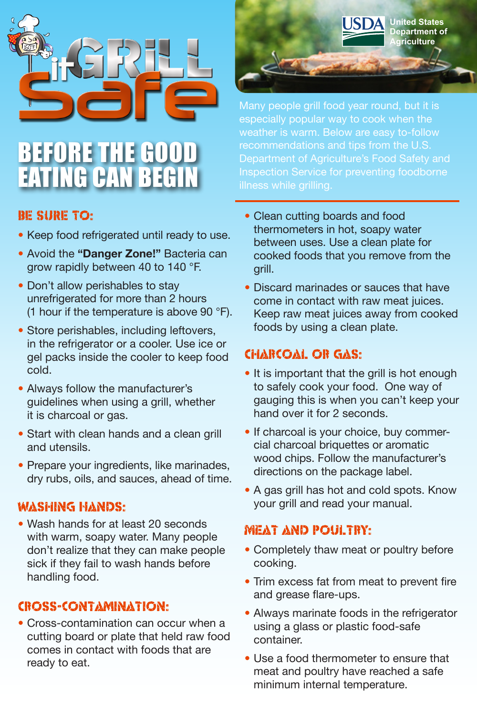

# **BEFORE THE GOO** EATING CAN BEGIN

#### BE SURE TO:

- Keep food refrigerated until ready to use.
- Avoid the **"Danger Zone!"** Bacteria can grow rapidly between 40 to 140 °F.
- Don't allow perishables to stay unrefrigerated for more than 2 hours (1 hour if the temperature is above 90 °F).
- Store perishables, including leftovers, in the refrigerator or a cooler. Use ice or gel packs inside the cooler to keep food cold.
- Always follow the manufacturer's guidelines when using a grill, whether it is charcoal or gas.
- Start with clean hands and a clean grill and utensils.
- Prepare your ingredients, like marinades, dry rubs, oils, and sauces, ahead of time.

#### Washing Hands:

• Wash hands for at least 20 seconds with warm, soapy water. Many people don't realize that they can make people sick if they fail to wash hands before handling food.

#### Cross-contamination:

• Cross-contamination can occur when a cutting board or plate that held raw food comes in contact with foods that are ready to eat.

**United States Department of**   $r$ **iculture** Many people grill food year round, but it is especially popular way to cook when the weather is warm. Below are easy to-follow recommendations and tips from the U.S. Department of Agriculture's Food Safety and

- Clean cutting boards and food thermometers in hot, soapy water between uses. Use a clean plate for cooked foods that you remove from the grill.
- Discard marinades or sauces that have come in contact with raw meat juices. Keep raw meat juices away from cooked foods by using a clean plate.

### Charcoal or Gas:

- It is important that the grill is hot enough to safely cook your food. One way of gauging this is when you can't keep your hand over it for 2 seconds.
- If charcoal is your choice, buy commercial charcoal briquettes or aromatic wood chips. Follow the manufacturer's directions on the package label.
- A gas grill has hot and cold spots. Know your grill and read your manual.

#### Meat and Poultry:

- Completely thaw meat or poultry before cooking.
- Trim excess fat from meat to prevent fire and grease flare-ups.
- Always marinate foods in the refrigerator using a glass or plastic food-safe container.
- Use a food thermometer to ensure that meat and poultry have reached a safe minimum internal temperature.